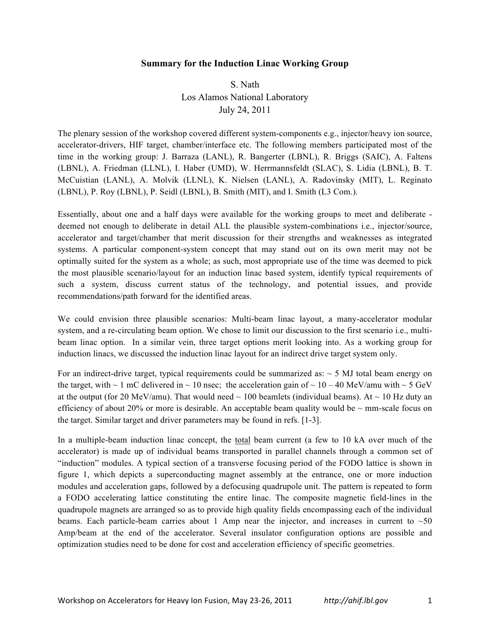## **Summary for the Induction Linac Working Group**

S. Nath Los Alamos National Laboratory July 24, 2011

The plenary session of the workshop covered different system-components e.g., injector/heavy ion source, accelerator-drivers, HIF target, chamber/interface etc. The following members participated most of the time in the working group: J. Barraza (LANL), R. Bangerter (LBNL), R. Briggs (SAIC), A. Faltens (LBNL), A. Friedman (LLNL), I. Haber (UMD), W. Herrmannsfeldt (SLAC), S. Lidia (LBNL), B. T. McCuistian (LANL), A. Molvik (LLNL), K. Nielsen (LANL), A. Radovinsky (MIT), L. Reginato (LBNL), P. Roy (LBNL), P. Seidl (LBNL), B. Smith (MIT), and I. Smith (L3 Com.).

Essentially, about one and a half days were available for the working groups to meet and deliberate deemed not enough to deliberate in detail ALL the plausible system-combinations i.e., injector/source, accelerator and target/chamber that merit discussion for their strengths and weaknesses as integrated systems. A particular component-system concept that may stand out on its own merit may not be optimally suited for the system as a whole; as such, most appropriate use of the time was deemed to pick the most plausible scenario/layout for an induction linac based system, identify typical requirements of such a system, discuss current status of the technology, and potential issues, and provide recommendations/path forward for the identified areas.

We could envision three plausible scenarios: Multi-beam linac layout, a many-accelerator modular system, and a re-circulating beam option. We chose to limit our discussion to the first scenario i.e., multibeam linac option. In a similar vein, three target options merit looking into. As a working group for induction linacs, we discussed the induction linac layout for an indirect drive target system only.

For an indirect-drive target, typical requirements could be summarized as:  $\sim$  5 MJ total beam energy on the target, with  $\sim 1$  mC delivered in  $\sim 10$  nsec; the acceleration gain of  $\sim 10 - 40$  MeV/amu with  $\sim 5$  GeV at the output (for 20 MeV/amu). That would need  $\sim 100$  beamlets (individual beams). At  $\sim 10$  Hz duty an efficiency of about 20% or more is desirable. An acceptable beam quality would be  $\sim$  mm-scale focus on the target. Similar target and driver parameters may be found in refs. [1-3].

In a multiple-beam induction linac concept, the total beam current (a few to 10 kA over much of the accelerator) is made up of individual beams transported in parallel channels through a common set of "induction" modules. A typical section of a transverse focusing period of the FODO lattice is shown in figure 1, which depicts a superconducting magnet assembly at the entrance, one or more induction modules and acceleration gaps, followed by a defocusing quadrupole unit. The pattern is repeated to form a FODO accelerating lattice constituting the entire linac. The composite magnetic field-lines in the quadrupole magnets are arranged so as to provide high quality fields encompassing each of the individual beams. Each particle-beam carries about 1 Amp near the injector, and increases in current to  $\sim$  50 Amp/beam at the end of the accelerator. Several insulator configuration options are possible and optimization studies need to be done for cost and acceleration efficiency of specific geometries.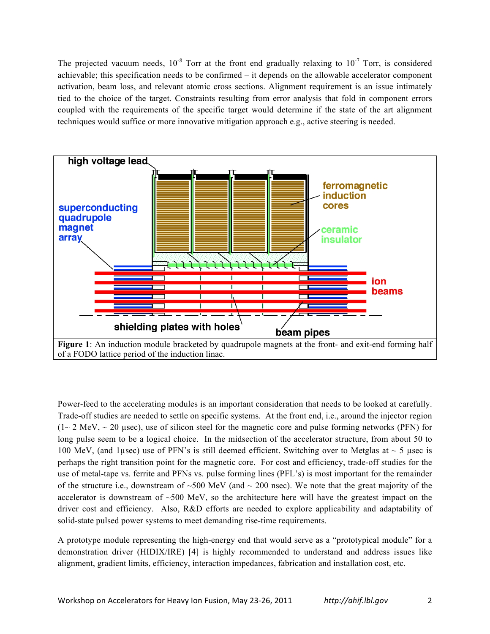The projected vacuum needs,  $10^{-8}$  Torr at the front end gradually relaxing to  $10^{-7}$  Torr, is considered achievable; this specification needs to be confirmed – it depends on the allowable accelerator component activation, beam loss, and relevant atomic cross sections. Alignment requirement is an issue intimately tied to the choice of the target. Constraints resulting from error analysis that fold in component errors coupled with the requirements of the specific target would determine if the state of the art alignment techniques would suffice or more innovative mitigation approach e.g., active steering is needed.



Power-feed to the accelerating modules is an important consideration that needs to be looked at carefully. Trade-off studies are needed to settle on specific systems. At the front end, i.e., around the injector region  $(1~ 2~ \text{MeV},~ 20~ \text{usec})$ , use of silicon steel for the magnetic core and pulse forming networks (PFN) for long pulse seem to be a logical choice. In the midsection of the accelerator structure, from about 50 to 100 MeV, (and 1µsec) use of PFN's is still deemed efficient. Switching over to Metglas at  $\sim$  5 µsec is perhaps the right transition point for the magnetic core. For cost and efficiency, trade-off studies for the use of metal-tape vs. ferrite and PFNs vs. pulse forming lines (PFL's) is most important for the remainder of the structure i.e., downstream of  $\sim$ 500 MeV (and  $\sim$  200 nsec). We note that the great majority of the accelerator is downstream of ~500 MeV, so the architecture here will have the greatest impact on the driver cost and efficiency. Also, R&D efforts are needed to explore applicability and adaptability of solid-state pulsed power systems to meet demanding rise-time requirements.

A prototype module representing the high-energy end that would serve as a "prototypical module" for a demonstration driver (HIDIX/IRE) [4] is highly recommended to understand and address issues like alignment, gradient limits, efficiency, interaction impedances, fabrication and installation cost, etc.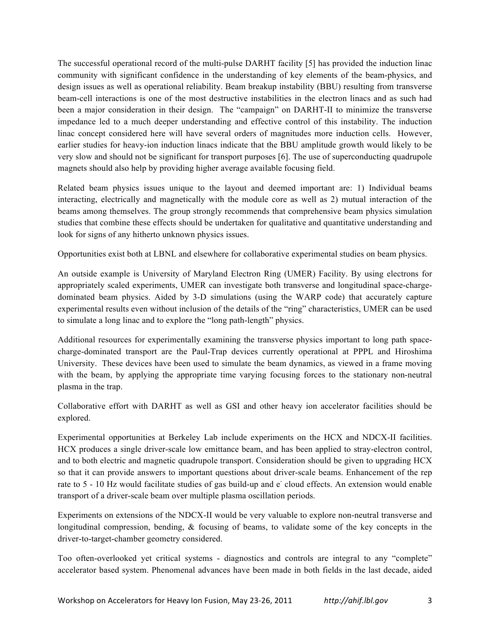The successful operational record of the multi-pulse DARHT facility [5] has provided the induction linac community with significant confidence in the understanding of key elements of the beam-physics, and design issues as well as operational reliability. Beam breakup instability (BBU) resulting from transverse beam-cell interactions is one of the most destructive instabilities in the electron linacs and as such had been a major consideration in their design. The "campaign" on DARHT-II to minimize the transverse impedance led to a much deeper understanding and effective control of this instability. The induction linac concept considered here will have several orders of magnitudes more induction cells. However, earlier studies for heavy-ion induction linacs indicate that the BBU amplitude growth would likely to be very slow and should not be significant for transport purposes [6]. The use of superconducting quadrupole magnets should also help by providing higher average available focusing field.

Related beam physics issues unique to the layout and deemed important are: 1) Individual beams interacting, electrically and magnetically with the module core as well as 2) mutual interaction of the beams among themselves. The group strongly recommends that comprehensive beam physics simulation studies that combine these effects should be undertaken for qualitative and quantitative understanding and look for signs of any hitherto unknown physics issues.

Opportunities exist both at LBNL and elsewhere for collaborative experimental studies on beam physics.

An outside example is University of Maryland Electron Ring (UMER) Facility. By using electrons for appropriately scaled experiments, UMER can investigate both transverse and longitudinal space-chargedominated beam physics. Aided by 3-D simulations (using the WARP code) that accurately capture experimental results even without inclusion of the details of the "ring" characteristics, UMER can be used to simulate a long linac and to explore the "long path-length" physics.

Additional resources for experimentally examining the transverse physics important to long path spacecharge-dominated transport are the Paul-Trap devices currently operational at PPPL and Hiroshima University. These devices have been used to simulate the beam dynamics, as viewed in a frame moving with the beam, by applying the appropriate time varying focusing forces to the stationary non-neutral plasma in the trap.

Collaborative effort with DARHT as well as GSI and other heavy ion accelerator facilities should be explored.

Experimental opportunities at Berkeley Lab include experiments on the HCX and NDCX-II facilities. HCX produces a single driver-scale low emittance beam, and has been applied to stray-electron control, and to both electric and magnetic quadrupole transport. Consideration should be given to upgrading HCX so that it can provide answers to important questions about driver-scale beams. Enhancement of the rep rate to 5 - 10 Hz would facilitate studies of gas build-up and e cloud effects. An extension would enable transport of a driver-scale beam over multiple plasma oscillation periods.

Experiments on extensions of the NDCX-II would be very valuable to explore non-neutral transverse and longitudinal compression, bending, & focusing of beams, to validate some of the key concepts in the driver-to-target-chamber geometry considered.

Too often-overlooked yet critical systems - diagnostics and controls are integral to any "complete" accelerator based system. Phenomenal advances have been made in both fields in the last decade, aided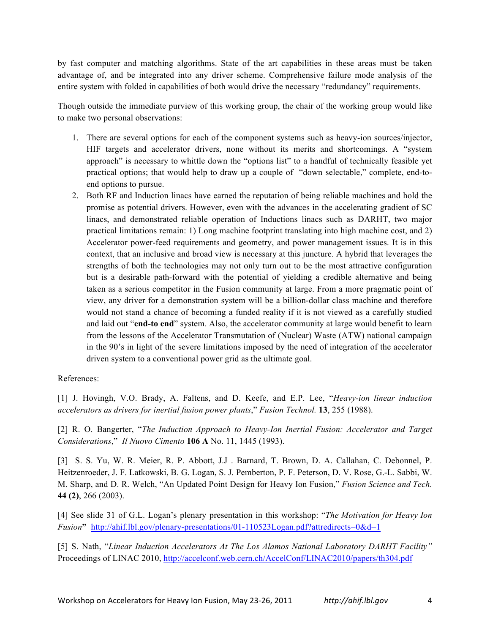by fast computer and matching algorithms. State of the art capabilities in these areas must be taken advantage of, and be integrated into any driver scheme. Comprehensive failure mode analysis of the entire system with folded in capabilities of both would drive the necessary "redundancy" requirements.

Though outside the immediate purview of this working group, the chair of the working group would like to make two personal observations:

- 1. There are several options for each of the component systems such as heavy-ion sources/injector, HIF targets and accelerator drivers, none without its merits and shortcomings. A "system approach" is necessary to whittle down the "options list" to a handful of technically feasible yet practical options; that would help to draw up a couple of "down selectable," complete, end-toend options to pursue.
- 2. Both RF and Induction linacs have earned the reputation of being reliable machines and hold the promise as potential drivers. However, even with the advances in the accelerating gradient of SC linacs, and demonstrated reliable operation of Inductions linacs such as DARHT, two major practical limitations remain: 1) Long machine footprint translating into high machine cost, and 2) Accelerator power-feed requirements and geometry, and power management issues. It is in this context, that an inclusive and broad view is necessary at this juncture. A hybrid that leverages the strengths of both the technologies may not only turn out to be the most attractive configuration but is a desirable path-forward with the potential of yielding a credible alternative and being taken as a serious competitor in the Fusion community at large. From a more pragmatic point of view, any driver for a demonstration system will be a billion-dollar class machine and therefore would not stand a chance of becoming a funded reality if it is not viewed as a carefully studied and laid out "**end-to end**" system. Also, the accelerator community at large would benefit to learn from the lessons of the Accelerator Transmutation of (Nuclear) Waste (ATW) national campaign in the 90's in light of the severe limitations imposed by the need of integration of the accelerator driven system to a conventional power grid as the ultimate goal.

## References:

[1] J. Hovingh, V.O. Brady, A. Faltens, and D. Keefe, and E.P. Lee, "*Heavy-ion linear induction accelerators as drivers for inertial fusion power plants*," *Fusion Technol.* **13**, 255 (1988).

[2] R. O. Bangerter, "*The Induction Approach to Heavy-Ion Inertial Fusion: Accelerator and Target Considerations*," *Il Nuovo Cimento* **106 A** No. 11, 1445 (1993).

[3] S. S. Yu, W. R. Meier, R. P. Abbott, J.J . Barnard, T. Brown, D. A. Callahan, C. Debonnel, P. Heitzenroeder, J. F. Latkowski, B. G. Logan, S. J. Pemberton, P. F. Peterson, D. V. Rose, G.-L. Sabbi, W. M. Sharp, and D. R. Welch, "An Updated Point Design for Heavy Ion Fusion," *Fusion Science and Tech.* **44 (2)**, 266 (2003).

[4] See slide 31 of G.L. Logan's plenary presentation in this workshop: "*The Motivation for Heavy Ion Fusion***"** http://ahif.lbl.gov/plenary-presentations/01-110523Logan.pdf?attredirects=0&d=1

[5] S. Nath, "*Linear Induction Accelerators At The Los Alamos National Laboratory DARHT Facility"*  Proceedings of LINAC 2010, http://accelconf.web.cern.ch/AccelConf/LINAC2010/papers/th304.pdf